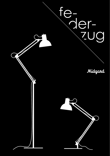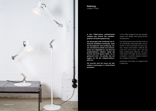

**federzug** midgard, 1950er

**in den 1950er-jahren perfektionierte midgard den entwurf des parallelogramms mit federzugspannung.** 

**die federzugleuchte funktioniert als individuell einstellbare lichtquelle: dank der beweglichen zwei-armlösung, deren mechanismus direkt vom menschlichen arm abgeleitet ist, und dem frei positionierbaren reflektor, bringt die leuchte das licht genau dahin, wo es gebraucht wird – ein prinzip, das von beginn an teil der midgard-philosophie war.**

**die leuchte wird bis heute auf den original werkzeugen in deutschland produziert.**

in the 1950s midgard took the parallelogram arm design with spring tension to perfection.

the spring-balanced luminaire works as an individually adjustable light source: thanks to the moveable two-arm solution, whose mechanism is directly derived from the human arm, and the freely positionable reflector, the luminaire directs the light exactly where it is needed – a solution deeply rooted in the midgard philosophy.

produced until today on original tools in germany.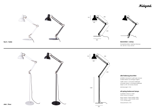## Midgard







## **alle federzug leuchten**

erhältlich standard in weiß oder schwarz andere farben auf anfrage möglich

weiße version / schwarzes textilkabel schwarze version / schwarzes textilkabel kabel 1,5 mtr. mit schuko-stecker

abmessungen / mm

## *all spring balanced lamps*

*available in black or white other colours on request*

*black version / black textile cable, white version / black textile cable 1.5 m, schuko-plug*

*measurements / mm*